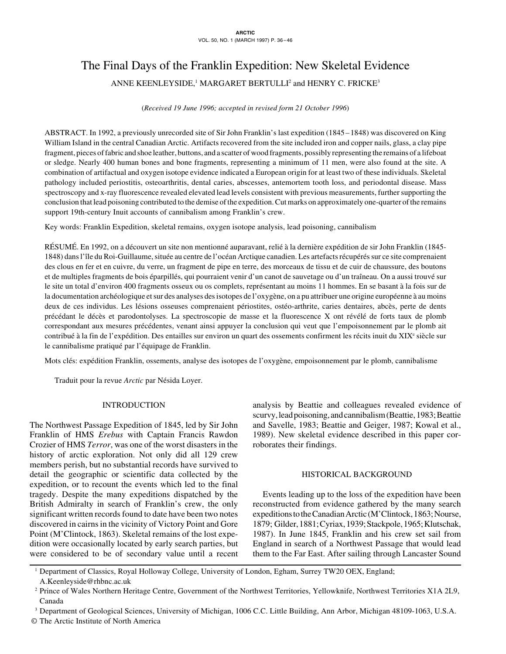# The Final Days of the Franklin Expedition: New Skeletal Evidence

ANNE KEENLEYSIDE, $^1$  MARGARET BERTULLI $^2$  and HENRY C. FRICKE $^3$ 

(*Received 19 June 1996; accepted in revised form 21 October 1996*)

ABSTRACT. In 1992, a previously unrecorded site of Sir John Franklin's last expedition (1845 –1848) was discovered on King William Island in the central Canadian Arctic. Artifacts recovered from the site included iron and copper nails, glass, a clay pipe fragment, pieces of fabric and shoe leather, buttons, and a scatter of wood fragments, possibly representing the remains of a lifeboat or sledge. Nearly 400 human bones and bone fragments, representing a minimum of 11 men, were also found at the site. A combination of artifactual and oxygen isotope evidence indicated a European origin for at least two of these individuals. Skeletal pathology included periostitis, osteoarthritis, dental caries, abscesses, antemortem tooth loss, and periodontal disease. Mass spectroscopy and x-ray fluorescence revealed elevated lead levels consistent with previous measurements, further supporting the conclusion that lead poisoning contributed to the demise of the expedition. Cut marks on approximately one-quarter of the remains support 19th-century Inuit accounts of cannibalism among Franklin's crew.

Key words: Franklin Expedition, skeletal remains, oxygen isotope analysis, lead poisoning, cannibalism

RÉSUMÉ. En 1992, on a découvert un site non mentionné auparavant, relié à la dernière expédition de sir John Franklin (1845- 1848) dans l'île du Roi-Guillaume, située au centre de l'océan Arctique canadien. Les artefacts récupérés sur ce site comprenaient des clous en fer et en cuivre, du verre, un fragment de pipe en terre, des morceaux de tissu et de cuir de chaussure, des boutons et de multiples fragments de bois éparpillés, qui pourraient venir d'un canot de sauvetage ou d'un traîneau. On a aussi trouvé sur le site un total d'environ 400 fragments osseux ou os complets, représentant au moins 11 hommes. En se basant à la fois sur de la documentation archéologique et sur des analyses des isotopes de l'oxygène, on a pu attribuer une origine européenne à au moins deux de ces individus. Les lésions osseuses comprenaient périostites, ostéo-arthrite, caries dentaires, abcès, perte de dents précédant le décès et parodontolyses. La spectroscopie de masse et la fluorescence X ont révélé de forts taux de plomb correspondant aux mesures précédentes, venant ainsi appuyer la conclusion qui veut que l'empoisonnement par le plomb ait contribué à la fin de l'expédition. Des entailles sur environ un quart des ossements confirment les récits inuit du XIX<sup>e</sup> siècle sur le cannibalisme pratiqué par l'équipage de Franklin.

Mots clés: expédition Franklin, ossements, analyse des isotopes de l'oxygène, empoisonnement par le plomb, cannibalisme

Traduit pour la revue *Arctic* par Nésida Loyer.

# INTRODUCTION

The Northwest Passage Expedition of 1845, led by Sir John Franklin of HMS *Erebus* with Captain Francis Rawdon Crozier of HMS *Terror*, was one of the worst disasters in the history of arctic exploration. Not only did all 129 crew members perish, but no substantial records have survived to detail the geographic or scientific data collected by the expedition, or to recount the events which led to the final tragedy. Despite the many expeditions dispatched by the British Admiralty in search of Franklin's crew, the only significant written records found to date have been two notes discovered in cairns in the vicinity of Victory Point and Gore Point (M'Clintock, 1863). Skeletal remains of the lost expedition were occasionally located by early search parties, but were considered to be of secondary value until a recent analysis by Beattie and colleagues revealed evidence of scurvy, lead poisoning, and cannibalism (Beattie, 1983; Beattie and Savelle, 1983; Beattie and Geiger, 1987; Kowal et al., 1989). New skeletal evidence described in this paper corroborates their findings.

# HISTORICAL BACKGROUND

Events leading up to the loss of the expedition have been reconstructed from evidence gathered by the many search expeditions to the Canadian Arctic (M'Clintock, 1863; Nourse, 1879; Gilder, 1881; Cyriax, 1939; Stackpole, 1965; Klutschak, 1987). In June 1845, Franklin and his crew set sail from England in search of a Northwest Passage that would lead them to the Far East. After sailing through Lancaster Sound

<sup>1</sup> Department of Classics, Royal Holloway College, University of London, Egham, Surrey TW20 OEX, England; A.Keenleyside@rhbnc.ac.uk

<sup>2</sup> Prince of Wales Northern Heritage Centre, Government of the Northwest Territories, Yellowknife, Northwest Territories X1A 2L9, Canada

<sup>3</sup> Department of Geological Sciences, University of Michigan, 1006 C.C. Little Building, Ann Arbor, Michigan 48109-1063, U.S.A.

<sup>©</sup> The Arctic Institute of North America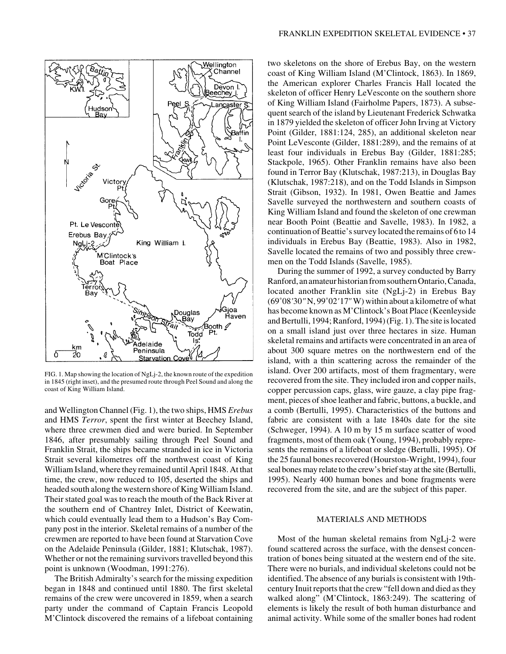

FIG. 1. Map showing the location of NgLj-2, the known route of the expedition in 1845 (right inset), and the presumed route through Peel Sound and along the coast of King William Island.

and Wellington Channel (Fig. 1), the two ships, HMS *Erebus* and HMS *Terror*, spent the first winter at Beechey Island, where three crewmen died and were buried. In September 1846, after presumably sailing through Peel Sound and Franklin Strait, the ships became stranded in ice in Victoria Strait several kilometres off the northwest coast of King William Island, where they remained until April 1848. At that time, the crew, now reduced to 105, deserted the ships and headed south along the western shore of King William Island. Their stated goal was to reach the mouth of the Back River at the southern end of Chantrey Inlet, District of Keewatin, which could eventually lead them to a Hudson's Bay Company post in the interior. Skeletal remains of a number of the crewmen are reported to have been found at Starvation Cove on the Adelaide Peninsula (Gilder, 1881; Klutschak, 1987). Whether or not the remaining survivors travelled beyond this point is unknown (Woodman, 1991:276).

The British Admiralty's search for the missing expedition began in 1848 and continued until 1880. The first skeletal remains of the crew were uncovered in 1859, when a search party under the command of Captain Francis Leopold M'Clintock discovered the remains of a lifeboat containing two skeletons on the shore of Erebus Bay, on the western coast of King William Island (M'Clintock, 1863). In 1869, the American explorer Charles Francis Hall located the skeleton of officer Henry LeVesconte on the southern shore of King William Island (Fairholme Papers, 1873). A subsequent search of the island by Lieutenant Frederick Schwatka in 1879 yielded the skeleton of officer John Irving at Victory Point (Gilder, 1881:124, 285), an additional skeleton near Point LeVesconte (Gilder, 1881:289), and the remains of at least four individuals in Erebus Bay (Gilder, 1881:285; Stackpole, 1965). Other Franklin remains have also been found in Terror Bay (Klutschak, 1987:213), in Douglas Bay (Klutschak, 1987:218), and on the Todd Islands in Simpson Strait (Gibson, 1932). In 1981, Owen Beattie and James Savelle surveyed the northwestern and southern coasts of King William Island and found the skeleton of one crewman near Booth Point (Beattie and Savelle, 1983). In 1982, a continuation of Beattie's survey located the remains of 6 to 14 individuals in Erebus Bay (Beattie, 1983). Also in 1982, Savelle located the remains of two and possibly three crewmen on the Todd Islands (Savelle, 1985).

During the summer of 1992, a survey conducted by Barry Ranford, an amateur historian from southern Ontario, Canada, located another Franklin site (NgLj-2) in Erebus Bay (69˚08*'*30*"* N, 99˚02*'*17*"* W) within about a kilometre of what has become known as M'Clintock's Boat Place (Keenleyside and Bertulli, 1994; Ranford, 1994) (Fig. 1). The site is located on a small island just over three hectares in size. Human skeletal remains and artifacts were concentrated in an area of about 300 square metres on the northwestern end of the island, with a thin scattering across the remainder of the island. Over 200 artifacts, most of them fragmentary, were recovered from the site. They included iron and copper nails, copper percussion caps, glass, wire gauze, a clay pipe fragment, pieces of shoe leather and fabric, buttons, a buckle, and a comb (Bertulli, 1995). Characteristics of the buttons and fabric are consistent with a late 1840s date for the site (Schweger, 1994). A 10 m by 15 m surface scatter of wood fragments, most of them oak (Young, 1994), probably represents the remains of a lifeboat or sledge (Bertulli, 1995). Of the 25 faunal bones recovered (Hourston-Wright, 1994), four seal bones may relate to the crew's brief stay at the site (Bertulli, 1995). Nearly 400 human bones and bone fragments were recovered from the site, and are the subject of this paper.

## MATERIALS AND METHODS

Most of the human skeletal remains from NgLj-2 were found scattered across the surface, with the densest concentration of bones being situated at the western end of the site. There were no burials, and individual skeletons could not be identified. The absence of any burials is consistent with 19thcentury Inuit reports that the crew "fell down and died as they walked along" (M'Clintock, 1863:249). The scattering of elements is likely the result of both human disturbance and animal activity. While some of the smaller bones had rodent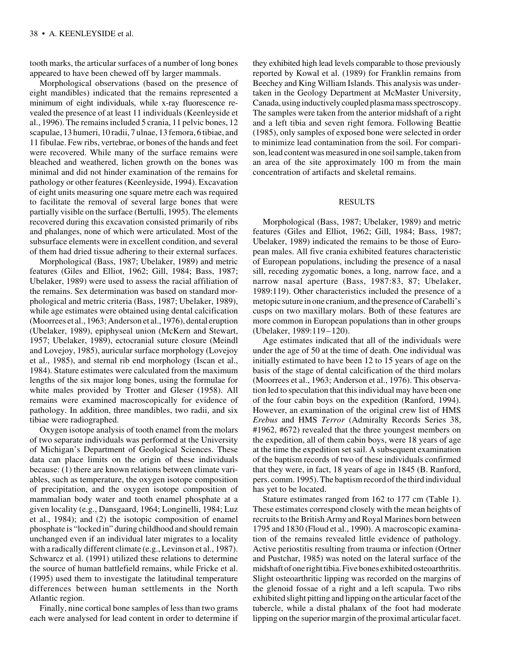tooth marks, the articular surfaces of a number of long bones appeared to have been chewed off by larger mammals.

Morphological observations (based on the presence of eight mandibles) indicated that the remains represented a minimum of eight individuals, while x-ray fluorescence revealed the presence of at least 11 individuals (Keenleyside et al., 1996). The remains included 5 crania, 11 pelvic bones, 12 scapulae, 13 humeri, 10 radii, 7 ulnae, 13 femora, 6 tibiae, and 11 fibulae. Few ribs, vertebrae, or bones of the hands and feet were recovered. While many of the surface remains were bleached and weathered, lichen growth on the bones was minimal and did not hinder examination of the remains for pathology or other features (Keenleyside, 1994). Excavation of eight units measuring one square metre each was required to facilitate the removal of several large bones that were partially visible on the surface (Bertulli, 1995). The elements recovered during this excavation consisted primarily of ribs and phalanges, none of which were articulated. Most of the subsurface elements were in excellent condition, and several of them had dried tissue adhering to their external surfaces.

Morphological (Bass, 1987; Ubelaker, 1989) and metric features (Giles and Elliot, 1962; Gill, 1984; Bass, 1987; Ubelaker, 1989) were used to assess the racial affiliation of the remains. Sex determination was based on standard morphological and metric criteria (Bass, 1987; Ubelaker, 1989), while age estimates were obtained using dental calcification (Moorrees et al., 1963; Anderson et al., 1976), dental eruption (Ubelaker, 1989), epiphyseal union (McKern and Stewart, 1957; Ubelaker, 1989), ectocranial suture closure (Meindl and Lovejoy, 1985), auricular surface morphology (Lovejoy et al., 1985), and sternal rib end morphology (Iscan et al., 1984). Stature estimates were calculated from the maximum lengths of the six major long bones, using the formulae for white males provided by Trotter and Gleser (1958). All remains were examined macroscopically for evidence of pathology. In addition, three mandibles, two radii, and six tibiae were radiographed.

Oxygen isotope analysis of tooth enamel from the molars of two separate individuals was performed at the University of Michigan's Department of Geological Sciences. These data can place limits on the origin of these individuals because: (1) there are known relations between climate variables, such as temperature, the oxygen isotope composition of precipitation, and the oxygen isotope composition of mammalian body water and tooth enamel phosphate at a given locality (e.g., Dansgaard, 1964; Longinelli, 1984; Luz et al., 1984); and (2) the isotopic composition of enamel phosphate is "locked in" during childhood and should remain unchanged even if an individual later migrates to a locality with a radically different climate (e.g., Levinson et al., 1987). Schwarcz et al. (1991) utilized these relations to determine the source of human battlefield remains, while Fricke et al. (1995) used them to investigate the latitudinal temperature differences between human settlements in the North Atlantic region.

Finally, nine cortical bone samples of less than two grams each were analysed for lead content in order to determine if they exhibited high lead levels comparable to those previously reported by Kowal et al. (1989) for Franklin remains from Beechey and King William Islands. This analysis was undertaken in the Geology Department at McMaster University, Canada, using inductively coupled plasma mass spectroscopy. The samples were taken from the anterior midshaft of a right and a left tibia and seven right femora. Following Beattie (1985), only samples of exposed bone were selected in order to minimize lead contamination from the soil. For comparison, lead content was measured in one soil sample, taken from an area of the site approximately 100 m from the main concentration of artifacts and skeletal remains.

#### RESULTS

Morphological (Bass, 1987; Ubelaker, 1989) and metric features (Giles and Elliot, 1962; Gill, 1984; Bass, 1987; Ubelaker, 1989) indicated the remains to be those of European males. All five crania exhibited features characteristic of European populations, including the presence of a nasal sill, receding zygomatic bones, a long, narrow face, and a narrow nasal aperture (Bass, 1987:83, 87; Ubelaker, 1989:119). Other characteristics included the presence of a metopic suture in one cranium, and the presence of Carabelli's cusps on two maxillary molars. Both of these features are more common in European populations than in other groups (Ubelaker, 1989:119–120).

Age estimates indicated that all of the individuals were under the age of 50 at the time of death. One individual was initially estimated to have been 12 to 15 years of age on the basis of the stage of dental calcification of the third molars (Moorrees et al., 1963; Anderson et al., 1976). This observation led to speculation that this individual may have been one of the four cabin boys on the expedition (Ranford, 1994). However, an examination of the original crew list of HMS *Erebus* and HMS *Terror* (Admiralty Records Series 38, #1962, #672) revealed that the three youngest members on the expedition, all of them cabin boys, were 18 years of age at the time the expedition set sail. A subsequent examination of the baptism records of two of these individuals confirmed that they were, in fact, 18 years of age in 1845 (B. Ranford, pers. comm. 1995). The baptism record of the third individual has yet to be located.

Stature estimates ranged from 162 to 177 cm (Table 1). These estimates correspond closely with the mean heights of recruits to the British Army and Royal Marines born between 1795 and 1830 (Floud et al., 1990). A macroscopic examination of the remains revealed little evidence of pathology. Active periostitis resulting from trauma or infection (Ortner and Pustchar, 1985) was noted on the lateral surface of the midshaft of one right tibia. Five bones exhibited osteoarthritis. Slight osteoarthritic lipping was recorded on the margins of the glenoid fossae of a right and a left scapula. Two ribs exhibited slight pitting and lipping on the articular facet of the tubercle, while a distal phalanx of the foot had moderate lipping on the superior margin of the proximal articular facet.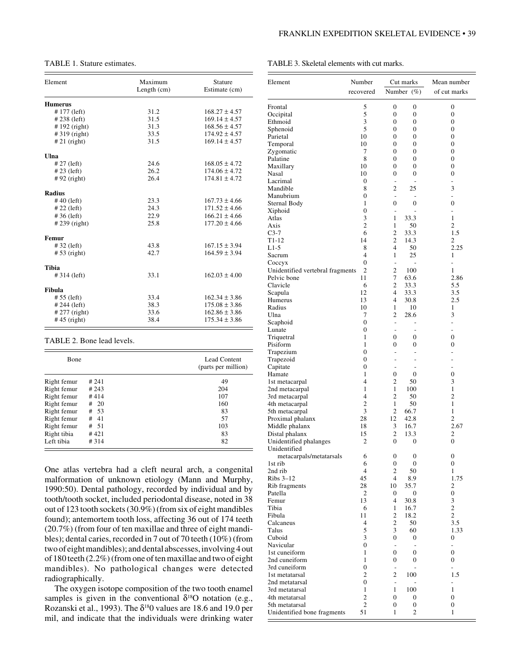# TABLE 1. Stature estimates.

| Element         | Maximum<br>Length $(cm)$ | <b>Stature</b><br>Estimate (cm) |  |  |
|-----------------|--------------------------|---------------------------------|--|--|
| <b>Humerus</b>  |                          |                                 |  |  |
| #177 (left)     | 31.2                     | $168.27 \pm 4.57$               |  |  |
| #238 (left)     | 31.5                     | $169.14 \pm 4.57$               |  |  |
| $# 192$ (right) | 31.3                     | $168.56 \pm 4.57$               |  |  |
| #319 (right)    | 33.5                     | $174.92 \pm 4.57$               |  |  |
| $#21$ (right)   | 31.5                     | $169.14 \pm 4.57$               |  |  |
| Ulna            |                          |                                 |  |  |
| $# 27$ (left)   | 24.6                     | $168.05 \pm 4.72$               |  |  |
| $#23$ (left)    | 26.2                     | $174.06 \pm 4.72$               |  |  |
| $#92$ (right)   | 26.4                     | $174.81 \pm 4.72$               |  |  |
| <b>Radius</b>   |                          |                                 |  |  |
| $#40$ (left)    | 23.3                     | $167.73 \pm 4.66$               |  |  |
| $# 22$ (left)   | 24.3                     | $171.52 \pm 4.66$               |  |  |
| $#36$ (left)    | 22.9                     | $166.21 \pm 4.66$               |  |  |
| $#239$ (right)  | 25.8                     | $177.20 \pm 4.66$               |  |  |
| <b>Femur</b>    |                          |                                 |  |  |
| $#32$ (left)    | 43.8                     | $167.15 \pm 3.94$               |  |  |
| $# 53$ (right)  | 42.7                     | $164.59 \pm 3.94$               |  |  |
| <b>Tibia</b>    |                          |                                 |  |  |
| $# 314$ (left)  | 33.1                     | $162.03 \pm 4.00$               |  |  |
| Fibula          |                          |                                 |  |  |
| $# 55$ (left)   | 33.4                     | $162.34 \pm 3.86$               |  |  |
| # 244 (left)    | 38.3                     | $175.08 \pm 3.86$               |  |  |
| $# 277$ (right) | 33.6                     | $162.86 \pm 3.86$               |  |  |
| $#45$ (right)   | 38.4                     | $175.34 \pm 3.86$               |  |  |

## TABLE 2. Bone lead levels.

| <b>B</b> one |           | Lead Content<br>(parts per million) |
|--------------|-----------|-------------------------------------|
| Right femur  | # 241     | 49                                  |
| Right femur  | #243      | 204                                 |
| Right femur  | #414      | 107                                 |
| Right femur  | #20       | 160                                 |
| Right femur  | - 53<br># | 83                                  |
| Right femur  | -41<br>#  | 57                                  |
| Right femur  | # 51      | 103                                 |
| Right tibia  | #421      | 83                                  |
| Left tibia   | #314      | 82                                  |

One atlas vertebra had a cleft neural arch, a congenital malformation of unknown etiology (Mann and Murphy, 1990:50). Dental pathology, recorded by individual and by tooth/tooth socket, included periodontal disease, noted in 38 out of 123 tooth sockets (30.9%) (from six of eight mandibles found); antemortem tooth loss, affecting 36 out of 174 teeth (20.7%) (from four of ten maxillae and three of eight mandibles); dental caries, recorded in 7 out of 70 teeth (10%) (from two of eight mandibles); and dental abscesses, involving 4 out of 180 teeth (2.2%) (from one of ten maxillae and two of eight mandibles). No pathological changes were detected radiographically.

The oxygen isotope composition of the two tooth enamel samples is given in the conventional  $\delta^{18}$ O notation (e.g., Rozanski et al., 1993). The  $\delta^{18}0$  values are 18.6 and 19.0 per mil, and indicate that the individuals were drinking water TABLE 3. Skeletal elements with cut marks.

| Element                                         | Number                               | Cut marks                          |                                  | Mean number                     |
|-------------------------------------------------|--------------------------------------|------------------------------------|----------------------------------|---------------------------------|
|                                                 | recovered                            |                                    | Number $(\%)$                    | of cut marks                    |
| Frontal                                         | 5                                    | $\boldsymbol{0}$                   | $\boldsymbol{0}$                 | 0                               |
| Occipital                                       | 5                                    | $\overline{0}$                     | $\boldsymbol{0}$                 | 0                               |
| Ethmoid                                         | 3                                    | $\boldsymbol{0}$                   | 0                                | 0                               |
| Sphenoid                                        | 5                                    | $\overline{0}$                     | $\mathbf{0}$                     | 0                               |
| Parietal<br>Temporal                            | 10<br>10                             | $\boldsymbol{0}$<br>$\overline{0}$ | $\boldsymbol{0}$<br>$\mathbf{0}$ | 0<br>0                          |
| Zygomatic                                       | 7                                    | $\mathbf{0}$                       | $\boldsymbol{0}$                 | 0                               |
| Palatine                                        | 8                                    | $\overline{0}$                     | $\mathbf{0}$                     | 0                               |
| Maxillary                                       | 10                                   | $\boldsymbol{0}$                   | $\boldsymbol{0}$                 | 0                               |
| Nasal                                           | 10                                   | $\overline{0}$                     | $\mathbf{0}$                     | 0                               |
| Lacrimal<br>Mandible                            | $\boldsymbol{0}$<br>8                | ä,<br>$\overline{c}$               | L,<br>25                         | $\overline{a}$<br>3             |
| Manubrium                                       | $\boldsymbol{0}$                     | $\overline{\phantom{a}}$           |                                  | $\overline{a}$                  |
| Sternal Body                                    | 1                                    | $\overline{0}$                     | $\boldsymbol{0}$                 | 0                               |
| Xiphoid                                         | $\boldsymbol{0}$                     | $\overline{a}$                     | ۰                                | $\overline{a}$                  |
| Atlas                                           | 3                                    | 1                                  | 33.3                             | 1                               |
| Axis<br>$C3-7$                                  | $\overline{c}$<br>6                  | 1<br>$\overline{c}$                | 50<br>33.3                       | 2<br>1.5                        |
| $T1-12$                                         | 14                                   | $\overline{c}$                     | 14.3                             | 2                               |
| $L1-5$                                          | 8                                    | $\overline{4}$                     | 50                               | 2.25                            |
| Sacrum                                          | 4                                    | 1                                  | 25                               | 1                               |
| Coccyx                                          | $\overline{0}$                       | $\overline{a}$                     | $\overline{a}$                   | $\overline{\phantom{0}}$        |
| Unidentified vertebral fragments<br>Pelvic bone | 2<br>11                              | $\overline{c}$<br>7                | 100<br>63.6                      | 1<br>2.86                       |
| Clavicle                                        | 6                                    | 2                                  | 33.3                             | 5.5                             |
| Scapula                                         | 12                                   | $\overline{4}$                     | 33.3                             | 3.5                             |
| Humerus                                         | 13                                   | 4                                  | 30.8                             | 2.5                             |
| Radius                                          | 10                                   | 1                                  | 10                               | 1                               |
| Ulna<br>Scaphoid                                | 7<br>$\boldsymbol{0}$                | 2<br>$\overline{a}$                | 28.6<br>$\overline{a}$           | 3<br>÷,                         |
| Lunate                                          | $\boldsymbol{0}$                     | ٠                                  | ٠                                | L.                              |
| Triquetral                                      | $\mathbf{1}$                         | $\boldsymbol{0}$                   | 0                                | 0                               |
| Pisiform                                        | $\mathbf{1}$                         | 0                                  | 0                                | 0                               |
| Trapezium                                       | $\boldsymbol{0}$                     | $\overline{a}$                     | L,                               | $\overline{a}$                  |
| Trapezoid<br>Capitate                           | $\boldsymbol{0}$<br>$\boldsymbol{0}$ | L,<br>٠                            | L,<br>$\overline{a}$             | ä,<br>۰                         |
| Hamate                                          | 1                                    | $\boldsymbol{0}$                   | $\boldsymbol{0}$                 | 0                               |
| 1st metacarpal                                  | 4                                    | $\overline{2}$                     | 50                               | 3                               |
| 2nd metacarpal                                  | $\mathbf{1}$                         | $\mathbf{1}$                       | 100                              | 1                               |
| 3rd metacarpal                                  | 4<br>$\overline{c}$                  | $\overline{2}$                     | 50                               | 2                               |
| 4th metacarpal<br>5th metacarpal                | 3                                    | 1<br>$\overline{c}$                | 50<br>66.7                       | 1<br>1                          |
| Proximal phalanx                                | 28                                   | 12                                 | 42.8                             | 2                               |
| Middle phalanx                                  | 18                                   | 3                                  | 16.7                             | 2.67                            |
| Distal phalanx                                  | 15                                   | 2                                  | 13.3                             | 2                               |
| Unidentified phalanges<br>Unidentified          | $\overline{2}$                       | 0                                  | $\mathbf{0}$                     | 0                               |
| metacarpals/metatarsals                         | 6                                    | 0                                  | 0                                | 0                               |
| 1st rib                                         | 6                                    | 0                                  | 0                                | 0                               |
| 2nd rib                                         | 4                                    | $\overline{c}$                     | 50                               | 1                               |
| Ribs $3-12$                                     | 45                                   | 4                                  | 8.9                              | 1.75                            |
| Rib fragments<br>Patella                        | 28<br>2                              | 10<br>0                            | 35.7<br>0                        | 2<br>0                          |
| Femur                                           | 13                                   | 4                                  | 30.8                             | 3                               |
| Tibia                                           | 6                                    | 1                                  | 16.7                             | $\overline{c}$                  |
| Fibula                                          | 11                                   | $\overline{c}$                     | 18.2                             | 2                               |
| Calcaneus                                       | 4                                    | 2                                  | 50                               | 3.5                             |
| Talus<br>Cuboid                                 | 5<br>3                               | 3<br>$\boldsymbol{0}$              | 60<br>0                          | 1.33<br>0                       |
| Navicular                                       | $\boldsymbol{0}$                     | $\overline{a}$                     | ÷,                               | -                               |
| 1st cuneiform                                   | 1                                    | $\boldsymbol{0}$                   | $\boldsymbol{0}$                 | 0                               |
| 2nd cuneiform                                   | 1                                    | 0                                  | 0                                | 0                               |
| 3rd cuneiform                                   | 0                                    | $\overline{a}$                     | L,                               | $\overline{\phantom{0}}$        |
| 1st metatarsal<br>2nd metatarsal                | $\overline{c}$<br>$\boldsymbol{0}$   | $\overline{c}$<br>$\overline{a}$   | 100                              | 1.5<br>$\overline{\phantom{0}}$ |
| 3rd metatarsal                                  | 1                                    | 1                                  | 100                              | 1                               |
| 4th metatarsal                                  | 2                                    | 0                                  | 0                                | 0                               |
| 5th metatarsal                                  | 2                                    | 0                                  | $\boldsymbol{0}$                 | 0                               |
| Unidentified bone fragments                     | 51                                   | 1                                  | 2                                | 1                               |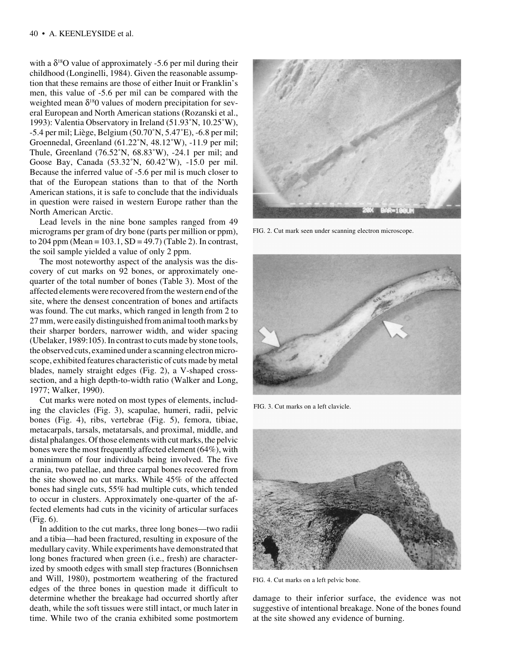with a  $\delta^{18}$ O value of approximately -5.6 per mil during their childhood (Longinelli, 1984). Given the reasonable assumption that these remains are those of either Inuit or Franklin's men, this value of -5.6 per mil can be compared with the weighted mean  $\delta^{18}0$  values of modern precipitation for several European and North American stations (Rozanski et al., 1993): Valentia Observatory in Ireland (51.93˚N, 10.25˚W), -5.4 per mil; Liège, Belgium (50.70˚N, 5.47˚E), -6.8 per mil; Groennedal, Greenland (61.22˚N, 48.12˚W), -11.9 per mil; Thule, Greenland (76.52˚N, 68.83˚W), -24.1 per mil; and Goose Bay, Canada (53.32˚N, 60.42˚W), -15.0 per mil. Because the inferred value of -5.6 per mil is much closer to that of the European stations than to that of the North American stations, it is safe to conclude that the individuals in question were raised in western Europe rather than the North American Arctic.

Lead levels in the nine bone samples ranged from 49 micrograms per gram of dry bone (parts per million or ppm), to 204 ppm (Mean =  $103.1$ , SD =  $49.7$ ) (Table 2). In contrast, the soil sample yielded a value of only 2 ppm.

The most noteworthy aspect of the analysis was the discovery of cut marks on 92 bones, or approximately onequarter of the total number of bones (Table 3). Most of the affected elements were recovered from the western end of the site, where the densest concentration of bones and artifacts was found. The cut marks, which ranged in length from 2 to 27 mm, were easily distinguished from animal tooth marks by their sharper borders, narrower width, and wider spacing (Ubelaker, 1989:105). In contrast to cuts made by stone tools, the observed cuts, examined under a scanning electron microscope, exhibited features characteristic of cuts made by metal blades, namely straight edges (Fig. 2), a V-shaped crosssection, and a high depth-to-width ratio (Walker and Long, 1977; Walker, 1990).

Cut marks were noted on most types of elements, including the clavicles (Fig. 3), scapulae, humeri, radii, pelvic bones (Fig. 4), ribs, vertebrae (Fig. 5), femora, tibiae, metacarpals, tarsals, metatarsals, and proximal, middle, and distal phalanges. Of those elements with cut marks, the pelvic bones were the most frequently affected element (64%), with a minimum of four individuals being involved. The five crania, two patellae, and three carpal bones recovered from the site showed no cut marks. While 45% of the affected bones had single cuts, 55% had multiple cuts, which tended to occur in clusters. Approximately one-quarter of the affected elements had cuts in the vicinity of articular surfaces (Fig. 6).

In addition to the cut marks, three long bones—two radii and a tibia—had been fractured, resulting in exposure of the medullary cavity. While experiments have demonstrated that long bones fractured when green (i.e., fresh) are characterized by smooth edges with small step fractures (Bonnichsen and Will, 1980), postmortem weathering of the fractured edges of the three bones in question made it difficult to determine whether the breakage had occurred shortly after death, while the soft tissues were still intact, or much later in time. While two of the crania exhibited some postmortem



FIG. 2. Cut mark seen under scanning electron microscope.



FIG. 3. Cut marks on a left clavicle.



FIG. 4. Cut marks on a left pelvic bone.

damage to their inferior surface, the evidence was not suggestive of intentional breakage. None of the bones found at the site showed any evidence of burning.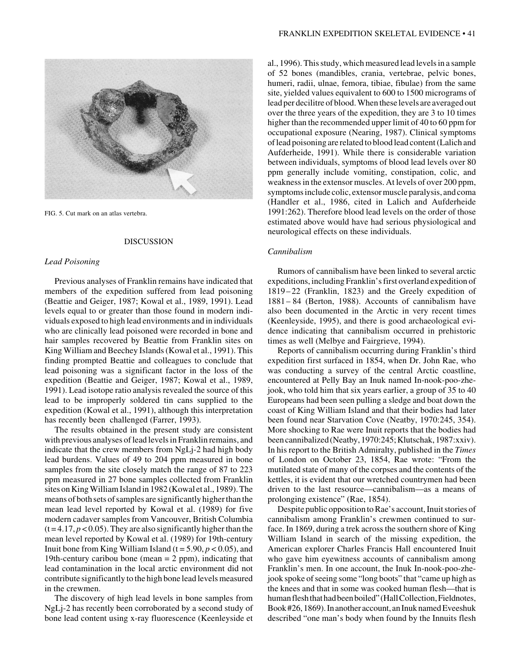

FIG. 5. Cut mark on an atlas vertebra.

#### DISCUSSION

## *Lead Poisoning*

Previous analyses of Franklin remains have indicated that members of the expedition suffered from lead poisoning (Beattie and Geiger, 1987; Kowal et al., 1989, 1991). Lead levels equal to or greater than those found in modern individuals exposed to high lead environments and in individuals who are clinically lead poisoned were recorded in bone and hair samples recovered by Beattie from Franklin sites on King William and Beechey Islands (Kowal et al., 1991). This finding prompted Beattie and colleagues to conclude that lead poisoning was a significant factor in the loss of the expedition (Beattie and Geiger, 1987; Kowal et al., 1989, 1991). Lead isotope ratio analysis revealed the source of this lead to be improperly soldered tin cans supplied to the expedition (Kowal et al., 1991), although this interpretation has recently been challenged (Farrer, 1993).

The results obtained in the present study are consistent with previous analyses of lead levels in Franklin remains, and indicate that the crew members from NgLj-2 had high body lead burdens. Values of 49 to 204 ppm measured in bone samples from the site closely match the range of 87 to 223 ppm measured in 27 bone samples collected from Franklin sites on King William Island in 1982 (Kowal et al., 1989). The means of both sets of samples are significantly higher than the mean lead level reported by Kowal et al. (1989) for five modern cadaver samples from Vancouver, British Columbia  $(t = 4.17, p < 0.05)$ . They are also significantly higher than the mean level reported by Kowal et al. (1989) for 19th-century Inuit bone from King William Island ( $t = 5.90, p < 0.05$ ), and 19th-century caribou bone (mean  $= 2$  ppm), indicating that lead contamination in the local arctic environment did not contribute significantly to the high bone lead levels measured in the crewmen.

The discovery of high lead levels in bone samples from NgLj-2 has recently been corroborated by a second study of bone lead content using x-ray fluorescence (Keenleyside et al., 1996). This study, which measured lead levels in a sample of 52 bones (mandibles, crania, vertebrae, pelvic bones, humeri, radii, ulnae, femora, tibiae, fibulae) from the same site, yielded values equivalent to 600 to 1500 micrograms of lead per decilitre of blood. When these levels are averaged out over the three years of the expedition, they are 3 to 10 times higher than the recommended upper limit of 40 to 60 ppm for occupational exposure (Nearing, 1987). Clinical symptoms of lead poisoning are related to blood lead content (Lalich and Aufderheide, 1991). While there is considerable variation between individuals, symptoms of blood lead levels over 80 ppm generally include vomiting, constipation, colic, and weakness in the extensor muscles. At levels of over 200 ppm, symptoms include colic, extensor muscle paralysis, and coma (Handler et al., 1986, cited in Lalich and Aufderheide 1991:262). Therefore blood lead levels on the order of those estimated above would have had serious physiological and neurological effects on these individuals.

## *Cannibalism*

Rumors of cannibalism have been linked to several arctic expeditions, including Franklin's first overland expedition of 1819– 22 (Franklin, 1823) and the Greely expedition of 1881– 84 (Berton, 1988). Accounts of cannibalism have also been documented in the Arctic in very recent times (Keenleyside, 1995), and there is good archaeological evidence indicating that cannibalism occurred in prehistoric times as well (Melbye and Fairgrieve, 1994).

Reports of cannibalism occurring during Franklin's third expedition first surfaced in 1854, when Dr. John Rae, who was conducting a survey of the central Arctic coastline, encountered at Pelly Bay an Inuk named In-nook-poo-zhejook, who told him that six years earlier, a group of 35 to 40 Europeans had been seen pulling a sledge and boat down the coast of King William Island and that their bodies had later been found near Starvation Cove (Neatby, 1970:245, 354). More shocking to Rae were Inuit reports that the bodies had been cannibalized (Neatby, 1970:245; Klutschak, 1987:xxiv). In his report to the British Admiralty, published in the *Times* of London on October 23, 1854, Rae wrote: "From the mutilated state of many of the corpses and the contents of the kettles, it is evident that our wretched countrymen had been driven to the last resource—cannibalism—as a means of prolonging existence" (Rae, 1854).

Despite public opposition to Rae's account, Inuit stories of cannibalism among Franklin's crewmen continued to surface. In 1869, during a trek across the southern shore of King William Island in search of the missing expedition, the American explorer Charles Francis Hall encountered Inuit who gave him eyewitness accounts of cannibalism among Franklin's men. In one account, the Inuk In-nook-poo-zhejook spoke of seeing some "long boots" that "came up high as the knees and that in some was cooked human flesh—that is human flesh that had been boiled" (Hall Collection, Fieldnotes, Book #26, 1869). In another account, an Inuk named Eveeshuk described "one man's body when found by the Innuits flesh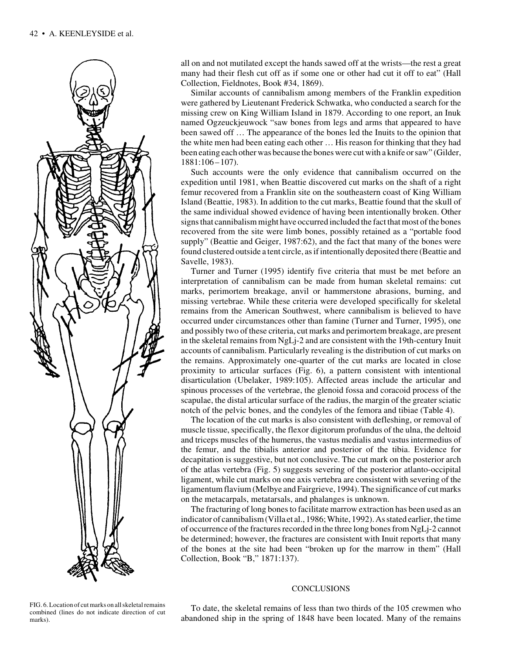

all on and not mutilated except the hands sawed off at the wrists—the rest a great many had their flesh cut off as if some one or other had cut it off to eat" (Hall Collection, Fieldnotes, Book #34, 1869).

Similar accounts of cannibalism among members of the Franklin expedition were gathered by Lieutenant Frederick Schwatka, who conducted a search for the missing crew on King William Island in 1879. According to one report, an Inuk named Ogzeuckjeuwock "saw bones from legs and arms that appeared to have been sawed off … The appearance of the bones led the Inuits to the opinion that the white men had been eating each other … His reason for thinking that they had been eating each other was because the bones were cut with a knife or saw" (Gilder, 1881:106–107).

Such accounts were the only evidence that cannibalism occurred on the expedition until 1981, when Beattie discovered cut marks on the shaft of a right femur recovered from a Franklin site on the southeastern coast of King William Island (Beattie, 1983). In addition to the cut marks, Beattie found that the skull of the same individual showed evidence of having been intentionally broken. Other signs that cannibalism might have occurred included the fact that most of the bones recovered from the site were limb bones, possibly retained as a "portable food supply" (Beattie and Geiger, 1987:62), and the fact that many of the bones were found clustered outside a tent circle, as if intentionally deposited there (Beattie and Savelle, 1983).

Turner and Turner (1995) identify five criteria that must be met before an interpretation of cannibalism can be made from human skeletal remains: cut marks, perimortem breakage, anvil or hammerstone abrasions, burning, and missing vertebrae. While these criteria were developed specifically for skeletal remains from the American Southwest, where cannibalism is believed to have occurred under circumstances other than famine (Turner and Turner, 1995), one and possibly two of these criteria, cut marks and perimortem breakage, are present in the skeletal remains from NgLj-2 and are consistent with the 19th-century Inuit accounts of cannibalism. Particularly revealing is the distribution of cut marks on the remains. Approximately one-quarter of the cut marks are located in close proximity to articular surfaces (Fig. 6), a pattern consistent with intentional disarticulation (Ubelaker, 1989:105). Affected areas include the articular and spinous processes of the vertebrae, the glenoid fossa and coracoid process of the scapulae, the distal articular surface of the radius, the margin of the greater sciatic notch of the pelvic bones, and the condyles of the femora and tibiae (Table 4).

The location of the cut marks is also consistent with defleshing, or removal of muscle tissue, specifically, the flexor digitorum profundus of the ulna, the deltoid and triceps muscles of the humerus, the vastus medialis and vastus intermedius of the femur, and the tibialis anterior and posterior of the tibia. Evidence for decapitation is suggestive, but not conclusive. The cut mark on the posterior arch of the atlas vertebra (Fig. 5) suggests severing of the posterior atlanto-occipital ligament, while cut marks on one axis vertebra are consistent with severing of the ligamentum flavium (Melbye and Fairgrieve, 1994). The significance of cut marks on the metacarpals, metatarsals, and phalanges is unknown.

The fracturing of long bones to facilitate marrow extraction has been used as an indicator of cannibalism (Villa et al., 1986; White, 1992). As stated earlier, the time of occurrence of the fractures recorded in the three long bones from NgLj-2 cannot be determined; however, the fractures are consistent with Inuit reports that many of the bones at the site had been "broken up for the marrow in them" (Hall Collection, Book "B," 1871:137).

### **CONCLUSIONS**

To date, the skeletal remains of less than two thirds of the 105 crewmen who abandoned ship in the spring of 1848 have been located. Many of the remains

FIG. 6. Location of cut marks on all skeletal remains combined (lines do not indicate direction of cut marks).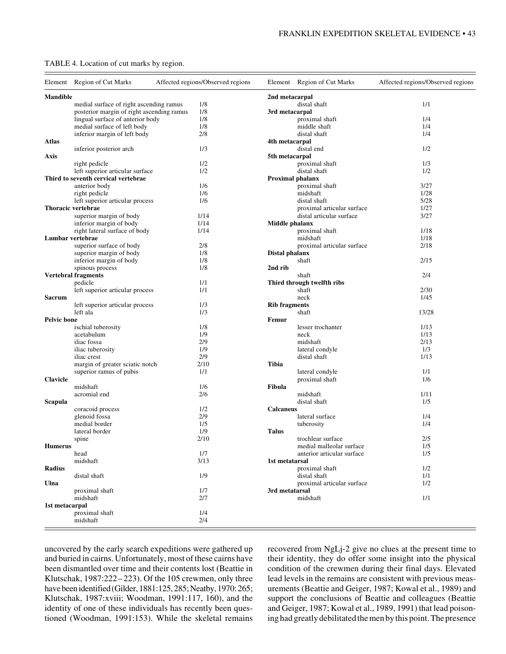| TABLE 4. Location of cut marks by region. |  |  |  |  |  |
|-------------------------------------------|--|--|--|--|--|
|-------------------------------------------|--|--|--|--|--|

|                    | Element Region of Cut Marks               | Affected regions/Observed regions |                      | Element Region of Cut Marks | Affected regions/Observed regions |
|--------------------|-------------------------------------------|-----------------------------------|----------------------|-----------------------------|-----------------------------------|
| <b>Mandible</b>    |                                           |                                   | 2nd metacarpal       |                             |                                   |
|                    | medial surface of right ascending ramus   | 1/8                               |                      | distal shaft                | 1/1                               |
|                    | posterior margin of right ascending ramus | 1/8                               | 3rd metacarpal       |                             |                                   |
|                    | lingual surface of anterior body          | 1/8                               |                      | proximal shaft              | 1/4                               |
|                    | medial surface of left body               | 1/8                               |                      | middle shaft                | 1/4                               |
|                    | inferior margin of left body              | 2/8                               |                      | distal shaft                | 1/4                               |
| Atlas              |                                           |                                   | 4th metacarpal       |                             |                                   |
|                    | inferior posterior arch                   | 1/3                               |                      | distal end                  | 1/2                               |
| Axis               |                                           |                                   | 5th metacarpal       |                             |                                   |
|                    | right pedicle                             | 1/2                               |                      | proximal shaft              | 1/3                               |
|                    | left superior articular surface           | 1/2                               |                      | distal shaft                | 1/2                               |
|                    | Third to seventh cervical vertebrae       |                                   |                      | <b>Proximal phalanx</b>     |                                   |
|                    | anterior body                             | 1/6                               |                      | proximal shaft              | 3/27                              |
|                    | right pedicle                             | 1/6                               |                      | midshaft                    | 1/28                              |
|                    | left superior articular process           | 1/6                               |                      | distal shaft                | 5/28                              |
|                    | Thoracic vertebrae                        |                                   |                      | proximal articular surface  | 1/27                              |
|                    | superior margin of body                   | 1/14                              |                      | distal articular surface    | 3/27                              |
|                    | inferior margin of body                   | 1/14                              | Middle phalanx       |                             |                                   |
|                    | right lateral surface of body             | 1/14                              |                      | proximal shaft              | 1/18                              |
| Lumbar vertebrae   |                                           |                                   |                      | midshaft                    | 1/18                              |
|                    | superior surface of body                  |                                   |                      |                             |                                   |
|                    |                                           | 2/8                               |                      | proximal articular surface  | 2/18                              |
|                    | superior margin of body                   | 1/8                               | Distal phalanx       |                             |                                   |
|                    | inferior margin of body                   | 1/8                               |                      | shaft                       | 2/15                              |
|                    | spinous process                           | 1/8                               | 2nd rib              |                             |                                   |
|                    | <b>Vertebral fragments</b>                |                                   |                      | shaft                       | 2/4                               |
|                    | pedicle                                   | 1/1                               |                      | Third through twelfth ribs  |                                   |
|                    | left superior articular process           | 1/1                               |                      | shaft                       | 2/30                              |
| Sacrum             |                                           |                                   |                      | neck                        | 1/45                              |
|                    | left superior articular process           | 1/3                               | <b>Rib fragments</b> |                             |                                   |
|                    | left ala                                  | 1/3                               |                      | shaft                       | 13/28                             |
| <b>Pelvic bone</b> |                                           |                                   | Femur                |                             |                                   |
|                    | ischial tuberosity                        | 1/8                               |                      | lesser trochanter           | 1/13                              |
|                    | acetabulum                                | 1/9                               |                      | neck                        | 1/13                              |
|                    | iliac fossa                               | 2/9                               |                      | midshaft                    | 2/13                              |
|                    | iliac tuberosity                          | 1/9                               |                      | lateral condyle             | 1/3                               |
|                    | iliac crest                               | 2/9                               |                      | distal shaft                | 1/13                              |
|                    | margin of greater sciatic notch           | 2/10                              | <b>Tibia</b>         |                             |                                   |
|                    | superior ramus of pubis                   | 1/1                               |                      | lateral condyle             | 1/1                               |
| <b>Clavicle</b>    |                                           |                                   |                      | proximal shaft              | 1/6                               |
|                    | midshaft                                  | 1/6                               | Fibula               |                             |                                   |
|                    | acromial end                              | 2/6                               |                      | midshaft                    | 1/11                              |
| Scapula            |                                           |                                   |                      | distal shaft                | 1/5                               |
|                    | coracoid process                          | 1/2                               | <b>Calcaneus</b>     |                             |                                   |
|                    | glenoid fossa                             | 2/9                               |                      | lateral surface             | 1/4                               |
|                    | medial border                             | 1/5                               |                      | tuberosity                  | 1/4                               |
|                    | lateral border                            | 1/9                               | <b>Talus</b>         |                             |                                   |
|                    |                                           | 2/10                              |                      | trochlear surface           | 2/5                               |
|                    | spine                                     |                                   |                      |                             |                                   |
| <b>Humerus</b>     |                                           |                                   |                      | medial malleolar surface    | 1/5                               |
|                    | head                                      | 1/7                               |                      | anterior articular surface  | 1/5                               |
|                    | midshaft                                  | 3/13                              | 1st metatarsal       |                             |                                   |
| Radius             |                                           |                                   |                      | proximal shaft              | 1/2                               |
|                    | distal shaft                              | 1/9                               |                      | distal shaft                | 1/1                               |
| Ulna               |                                           |                                   |                      | proximal articular surface  | 1/2                               |
|                    | proximal shaft                            | 1/7                               | 3rd metatarsal       |                             |                                   |
|                    | midshaft                                  | 2/7                               |                      | midshaft                    | 1/1                               |
| 1st metacarpal     |                                           |                                   |                      |                             |                                   |
|                    | proximal shaft                            | 1/4                               |                      |                             |                                   |
|                    | midshaft                                  | 2/4                               |                      |                             |                                   |
|                    |                                           |                                   |                      |                             |                                   |

uncovered by the early search expeditions were gathered up and buried in cairns. Unfortunately, most of these cairns have been dismantled over time and their contents lost (Beattie in Klutschak, 1987:222– 223). Of the 105 crewmen, only three have been identified (Gilder, 1881:125, 285; Neatby, 1970: 265; Klutschak, 1987:xviii; Woodman, 1991:117, 160), and the identity of one of these individuals has recently been questioned (Woodman, 1991:153). While the skeletal remains

recovered from NgLj-2 give no clues at the present time to their identity, they do offer some insight into the physical condition of the crewmen during their final days. Elevated lead levels in the remains are consistent with previous measurements (Beattie and Geiger, 1987; Kowal et al., 1989) and support the conclusions of Beattie and colleagues (Beattie and Geiger, 1987; Kowal et al., 1989, 1991) that lead poisoning had greatly debilitated the men by this point. The presence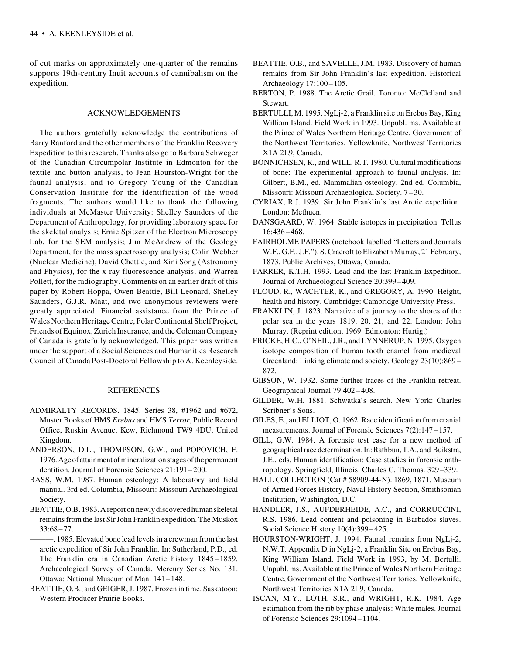of cut marks on approximately one-quarter of the remains supports 19th-century Inuit accounts of cannibalism on the expedition.

#### ACKNOWLEDGEMENTS

The authors gratefully acknowledge the contributions of Barry Ranford and the other members of the Franklin Recovery Expedition to this research. Thanks also go to Barbara Schweger of the Canadian Circumpolar Institute in Edmonton for the textile and button analysis, to Jean Hourston-Wright for the faunal analysis, and to Gregory Young of the Canadian Conservation Institute for the identification of the wood fragments. The authors would like to thank the following individuals at McMaster University: Shelley Saunders of the Department of Anthropology, for providing laboratory space for the skeletal analysis; Ernie Spitzer of the Electron Microscopy Lab, for the SEM analysis; Jim McAndrew of the Geology Department, for the mass spectroscopy analysis; Colin Webber (Nuclear Medicine), David Chettle, and Xini Song (Astronomy and Physics), for the x-ray fluorescence analysis; and Warren Pollett, for the radiography. Comments on an earlier draft of this paper by Robert Hoppa, Owen Beattie, Bill Leonard, Shelley Saunders, G.J.R. Maat, and two anonymous reviewers were greatly appreciated. Financial assistance from the Prince of Wales Northern Heritage Centre, Polar Continental Shelf Project, Friends of Equinox, Zurich Insurance, and the Coleman Company of Canada is gratefully acknowledged. This paper was written under the support of a Social Sciences and Humanities Research Council of Canada Post-Doctoral Fellowship to A. Keenleyside.

#### REFERENCES

- ADMIRALTY RECORDS. 1845. Series 38, #1962 and #672, Muster Books of HMS *Erebus* and HMS *Terror*, Public Record Office, Ruskin Avenue, Kew, Richmond TW9 4DU, United Kingdom.
- ANDERSON, D.L., THOMPSON, G.W., and POPOVICH, F. 1976. Age of attainment of mineralization stages of the permanent dentition. Journal of Forensic Sciences 21:191 – 200.
- BASS, W.M. 1987. Human osteology: A laboratory and field manual. 3rd ed. Columbia, Missouri: Missouri Archaeological Society.
- BEATTIE, O.B. 1983. A report on newly discovered human skeletal remains from the last Sir John Franklin expedition. The Muskox 33:68–77.
	- -. 1985. Elevated bone lead levels in a crewman from the last arctic expedition of Sir John Franklin. In: Sutherland, P.D., ed. The Franklin era in Canadian Arctic history 1845–1859*.* Archaeological Survey of Canada, Mercury Series No. 131. Ottawa: National Museum of Man. 141–148.
- BEATTIE, O.B., and GEIGER, J. 1987. Frozen in time. Saskatoon: Western Producer Prairie Books.
- BEATTIE, O.B., and SAVELLE, J.M. 1983. Discovery of human remains from Sir John Franklin's last expedition. Historical Archaeology 17:100–105.
- BERTON, P. 1988. The Arctic Grail. Toronto: McClelland and Stewart.
- BERTULLI, M. 1995. NgLj-2, a Franklin site on Erebus Bay, King William Island. Field Work in 1993. Unpubl. ms. Available at the Prince of Wales Northern Heritage Centre, Government of the Northwest Territories, Yellowknife, Northwest Territories X1A 2L9, Canada.
- BONNICHSEN, R., and WILL, R.T. 1980. Cultural modifications of bone: The experimental approach to faunal analysis. In: Gilbert, B.M., ed. Mammalian osteology. 2nd ed. Columbia, Missouri: Missouri Archaeological Society. 7 – 30.
- CYRIAX, R.J. 1939. Sir John Franklin's last Arctic expedition. London: Methuen.
- DANSGAARD, W. 1964. Stable isotopes in precipitation. Tellus 16:436–468.
- FAIRHOLME PAPERS (notebook labelled "Letters and Journals W.F., G.F., J.F."). S. Cracroft to Elizabeth Murray, 21 February, 1873. Public Archives, Ottawa, Canada.
- FARRER, K.T.H. 1993. Lead and the last Franklin Expedition. Journal of Archaeological Science 20:399–409.
- FLOUD, R., WACHTER, K., and GREGORY, A. 1990. Height, health and history. Cambridge: Cambridge University Press.
- FRANKLIN, J. 1823. Narrative of a journey to the shores of the polar sea in the years 1819, 20, 21, and 22. London: John Murray. (Reprint edition, 1969. Edmonton: Hurtig.)
- FRICKE, H.C., O'NEIL, J.R., and LYNNERUP, N. 1995. Oxygen isotope composition of human tooth enamel from medieval Greenland: Linking climate and society. Geology 23(10):869 – 872.
- GIBSON, W. 1932. Some further traces of the Franklin retreat. Geographical Journal 79:402– 408.
- GILDER, W.H. 1881. Schwatka's search. New York: Charles Scribner's Sons.
- GILES, E., and ELLIOT, O. 1962. Race identification from cranial measurements. Journal of Forensic Sciences 7(2):147–157.
- GILL, G.W. 1984. A forensic test case for a new method of geographical race determination. In: Rathbun, T.A., and Buikstra, J.E., eds. Human identification: Case studies in forensic anthropology. Springfield, Illinois: Charles C. Thomas. 329 –339.
- HALL COLLECTION (Cat # 58909-44-N). 1869, 1871. Museum of Armed Forces History, Naval History Section, Smithsonian Institution, Washington, D.C.
- HANDLER, J.S., AUFDERHEIDE, A.C., and CORRUCCINI, R.S. 1986. Lead content and poisoning in Barbados slaves. Social Science History 10(4):399–425.
- HOURSTON-WRIGHT, J. 1994. Faunal remains from NgLj-2, N.W.T. Appendix D in NgLj-2, a Franklin Site on Erebus Bay, King William Island. Field Work in 1993, by M. Bertulli. Unpubl. ms. Available at the Prince of Wales Northern Heritage Centre, Government of the Northwest Territories, Yellowknife, Northwest Territories X1A 2L9, Canada.
- ISCAN, M.Y., LOTH, S.R., and WRIGHT, R.K. 1984. Age estimation from the rib by phase analysis: White males. Journal of Forensic Sciences 29:1094–1104.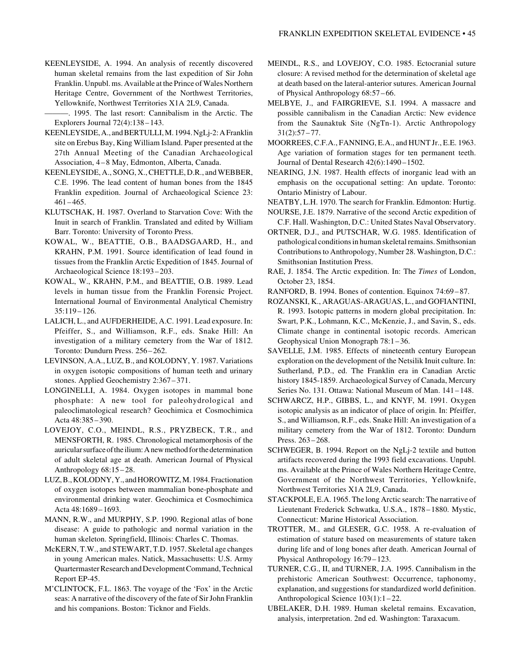- KEENLEYSIDE, A. 1994. An analysis of recently discovered human skeletal remains from the last expedition of Sir John Franklin. Unpubl. ms. Available at the Prince of Wales Northern Heritage Centre, Government of the Northwest Territories, Yellowknife, Northwest Territories X1A 2L9, Canada.
- ———. 1995. The last resort: Cannibalism in the Arctic. The Explorers Journal 72(4):138–143.
- KEENLEYSIDE, A., and BERTULLI, M. 1994. NgLj-2: A Franklin site on Erebus Bay, King William Island. Paper presented at the 27th Annual Meeting of the Canadian Archaeological Association, 4–8 May, Edmonton, Alberta, Canada.
- KEENLEYSIDE, A., SONG, X., CHETTLE, D.R., and WEBBER, C.E. 1996. The lead content of human bones from the 1845 Franklin expedition. Journal of Archaeological Science 23: 461–465.
- KLUTSCHAK, H. 1987. Overland to Starvation Cove: With the Inuit in search of Franklin. Translated and edited by William Barr. Toronto: University of Toronto Press.
- KOWAL, W., BEATTIE, O.B., BAADSGAARD, H., and KRAHN, P.M. 1991. Source identification of lead found in tissues from the Franklin Arctic Expedition of 1845. Journal of Archaeological Science 18:193–203.
- KOWAL, W., KRAHN, P.M., and BEATTIE, O.B. 1989. Lead levels in human tissue from the Franklin Forensic Project. International Journal of Environmental Analytical Chemistry 35:119 – 126.
- LALICH, L., and AUFDERHEIDE, A.C. 1991. Lead exposure. In: Pfeiffer, S., and Williamson, R.F., eds. Snake Hill: An investigation of a military cemetery from the War of 1812. Toronto: Dundurn Press. 256-262.
- LEVINSON, A.A., LUZ, B., and KOLODNY, Y. 1987. Variations in oxygen isotopic compositions of human teeth and urinary stones. Applied Geochemistry 2:367 – 371.
- LONGINELLI, A. 1984. Oxygen isotopes in mammal bone phosphate: A new tool for paleohydrological and paleoclimatological research? Geochimica et Cosmochimica Acta 48:385–390.
- LOVEJOY, C.O., MEINDL, R.S., PRYZBECK, T.R., and MENSFORTH, R. 1985. Chronological metamorphosis of the auricular surface of the ilium: A new method for the determination of adult skeletal age at death. American Journal of Physical Anthropology  $68:15-28$ .
- LUZ, B., KOLODNY, Y., and HOROWITZ, M. 1984. Fractionation of oxygen isotopes between mammalian bone-phosphate and environmental drinking water. Geochimica et Cosmochimica Acta 48:1689–1693.
- MANN, R.W., and MURPHY, S.P. 1990. Regional atlas of bone disease: A guide to pathologic and normal variation in the human skeleton. Springfield, Illinois: Charles C. Thomas.
- McKERN, T.W., and STEWART, T.D. 1957. Skeletal age changes in young American males. Natick, Massachusetts: U.S. Army Quartermaster Research and Development Command, Technical Report EP-45.
- M'CLINTOCK, F.L. 1863. The voyage of the 'Fox' in the Arctic seas: A narrative of the discovery of the fate of Sir John Franklin and his companions. Boston: Ticknor and Fields.
- MEINDL, R.S., and LOVEJOY, C.O. 1985. Ectocranial suture closure: A revised method for the determination of skeletal age at death based on the lateral-anterior sutures. American Journal of Physical Anthropology 68:57 –66.
- MELBYE, J., and FAIRGRIEVE, S.I. 1994. A massacre and possible cannibalism in the Canadian Arctic: New evidence from the Saunaktuk Site (NgTn-1). Arctic Anthropology  $31(2):57 - 77.$
- MOORREES, C.F.A., FANNING, E.A., and HUNT Jr., E.E. 1963. Age variation of formation stages for ten permanent teeth. Journal of Dental Research  $42(6)$ : 1490 – 1502.
- NEARING, J.N. 1987. Health effects of inorganic lead with an emphasis on the occupational setting: An update. Toronto: Ontario Ministry of Labour.
- NEATBY, L.H. 1970. The search for Franklin. Edmonton: Hurtig.
- NOURSE, J.E. 1879. Narrative of the second Arctic expedition of C.F. Hall. Washington, D.C.: United States Naval Observatory.
- ORTNER, D.J., and PUTSCHAR, W.G. 1985. Identification of pathological conditions in human skeletal remains. Smithsonian Contributions to Anthropology, Number 28. Washington, D.C.: Smithsonian Institution Press.
- RAE, J. 1854. The Arctic expedition. In: The *Times* of London, October 23, 1854.
- RANFORD, B. 1994. Bones of contention. Equinox 74:69 –87.
- ROZANSKI, K., ARAGUAS-ARAGUAS, L., and GOFIANTINI, R. 1993. Isotopic patterns in modern global precipitation. In: Swart, P.K., Lohmann, K.C., McKenzie, J., and Savin, S., eds. Climate change in continental isotopic records. American Geophysical Union Monograph 78:1–36.
- SAVELLE, J.M. 1985. Effects of nineteenth century European exploration on the development of the Netsilik Inuit culture. In: Sutherland, P.D., ed. The Franklin era in Canadian Arctic history 1845-1859. Archaeological Survey of Canada, Mercury Series No. 131. Ottawa: National Museum of Man. 141–148.
- SCHWARCZ, H.P., GIBBS, L., and KNYF, M. 1991. Oxygen isotopic analysis as an indicator of place of origin. In: Pfeiffer, S., and Williamson, R.F., eds. Snake Hill: An investigation of a military cemetery from the War of 1812. Toronto: Dundurn Press. 263–268.
- SCHWEGER, B. 1994. Report on the NgLj-2 textile and button artifacts recovered during the 1993 field excavations. Unpubl. ms. Available at the Prince of Wales Northern Heritage Centre, Government of the Northwest Territories, Yellowknife, Northwest Territories X1A 2L9, Canada.
- STACKPOLE, E.A. 1965. The long Arctic search: The narrative of Lieutenant Frederick Schwatka, U.S.A., 1878–1880. Mystic, Connecticut: Marine Historical Association.
- TROTTER, M., and GLESER, G.C. 1958. A re-evaluation of estimation of stature based on measurements of stature taken during life and of long bones after death. American Journal of Physical Anthropology 16:79–123.
- TURNER, C.G., II, and TURNER, J.A. 1995. Cannibalism in the prehistoric American Southwest: Occurrence, taphonomy, explanation, and suggestions for standardized world definition. Anthropological Science 103(1):1 –22.
- UBELAKER, D.H. 1989. Human skeletal remains. Excavation, analysis, interpretation. 2nd ed. Washington: Taraxacum.